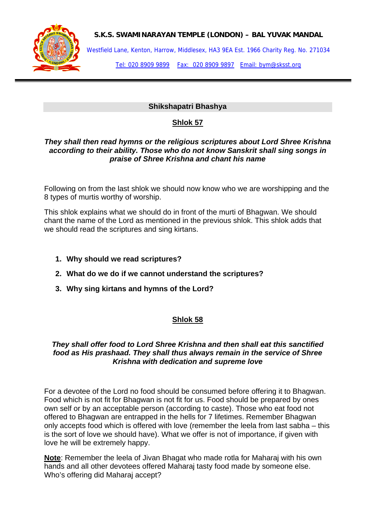

### **S.K.S. SWAMINARAYAN TEMPLE (LONDON) – BAL YUVAK MANDAL**

Westfield Lane, Kenton, Harrow, Middlesex, HA3 9EA Est. 1966 Charity Reg. No. 271034

Tel: 020 8909 9899 Fax: 020 8909 9897 Email: bym@sksst.org

# **Shikshapatri Bhashya**

# **Shlok 57**

#### *They shall then read hymns or the religious scriptures about Lord Shree Krishna according to their ability. Those who do not know Sanskrit shall sing songs in praise of Shree Krishna and chant his name*

Following on from the last shlok we should now know who we are worshipping and the 8 types of murtis worthy of worship.

This shlok explains what we should do in front of the murti of Bhagwan. We should chant the name of the Lord as mentioned in the previous shlok. This shlok adds that we should read the scriptures and sing kirtans.

- **1. Why should we read scriptures?**
- **2. What do we do if we cannot understand the scriptures?**
- **3. Why sing kirtans and hymns of the Lord?**

# **Shlok 58**

### *They shall offer food to Lord Shree Krishna and then shall eat this sanctified food as His prashaad. They shall thus always remain in the service of Shree Krishna with dedication and supreme love*

For a devotee of the Lord no food should be consumed before offering it to Bhagwan. Food which is not fit for Bhagwan is not fit for us. Food should be prepared by ones own self or by an acceptable person (according to caste). Those who eat food not offered to Bhagwan are entrapped in the hells for 7 lifetimes. Remember Bhagwan only accepts food which is offered with love (remember the leela from last sabha – this is the sort of love we should have). What we offer is not of importance, if given with love he will be extremely happy.

**Note**: Remember the leela of Jivan Bhagat who made rotla for Maharaj with his own hands and all other devotees offered Maharaj tasty food made by someone else. Who's offering did Maharaj accept?